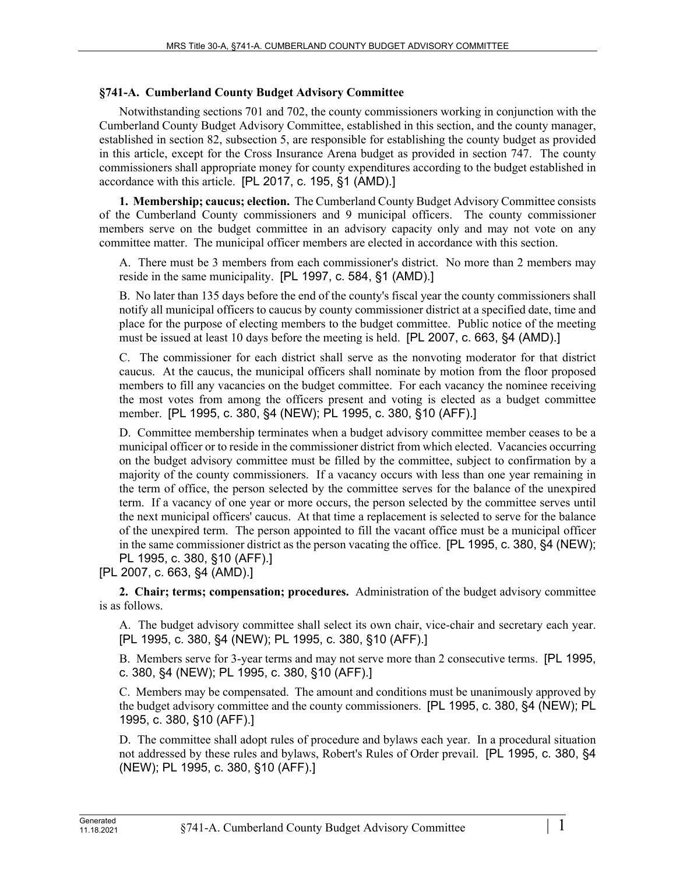## **§741-A. Cumberland County Budget Advisory Committee**

Notwithstanding sections 701 and 702, the county commissioners working in conjunction with the Cumberland County Budget Advisory Committee, established in this section, and the county manager, established in section 82, subsection 5, are responsible for establishing the county budget as provided in this article, except for the Cross Insurance Arena budget as provided in section 747. The county commissioners shall appropriate money for county expenditures according to the budget established in accordance with this article. [PL 2017, c. 195, §1 (AMD).]

**1. Membership; caucus; election.** The Cumberland County Budget Advisory Committee consists of the Cumberland County commissioners and 9 municipal officers. The county commissioner members serve on the budget committee in an advisory capacity only and may not vote on any committee matter. The municipal officer members are elected in accordance with this section.

A. There must be 3 members from each commissioner's district. No more than 2 members may reside in the same municipality. [PL 1997, c. 584, §1 (AMD).]

B. No later than 135 days before the end of the county's fiscal year the county commissioners shall notify all municipal officers to caucus by county commissioner district at a specified date, time and place for the purpose of electing members to the budget committee. Public notice of the meeting must be issued at least 10 days before the meeting is held. [PL 2007, c. 663, §4 (AMD).]

C. The commissioner for each district shall serve as the nonvoting moderator for that district caucus. At the caucus, the municipal officers shall nominate by motion from the floor proposed members to fill any vacancies on the budget committee. For each vacancy the nominee receiving the most votes from among the officers present and voting is elected as a budget committee member. [PL 1995, c. 380, §4 (NEW); PL 1995, c. 380, §10 (AFF).]

D. Committee membership terminates when a budget advisory committee member ceases to be a municipal officer or to reside in the commissioner district from which elected. Vacancies occurring on the budget advisory committee must be filled by the committee, subject to confirmation by a majority of the county commissioners. If a vacancy occurs with less than one year remaining in the term of office, the person selected by the committee serves for the balance of the unexpired term. If a vacancy of one year or more occurs, the person selected by the committee serves until the next municipal officers' caucus. At that time a replacement is selected to serve for the balance of the unexpired term. The person appointed to fill the vacant office must be a municipal officer in the same commissioner district as the person vacating the office. [PL 1995, c. 380, §4 (NEW); PL 1995, c. 380, §10 (AFF).]

[PL 2007, c. 663, §4 (AMD).]

**2. Chair; terms; compensation; procedures.** Administration of the budget advisory committee is as follows.

A. The budget advisory committee shall select its own chair, vice-chair and secretary each year. [PL 1995, c. 380, §4 (NEW); PL 1995, c. 380, §10 (AFF).]

B. Members serve for 3-year terms and may not serve more than 2 consecutive terms. [PL 1995, c. 380, §4 (NEW); PL 1995, c. 380, §10 (AFF).]

C. Members may be compensated. The amount and conditions must be unanimously approved by the budget advisory committee and the county commissioners. [PL 1995, c. 380, §4 (NEW); PL 1995, c. 380, §10 (AFF).]

D. The committee shall adopt rules of procedure and bylaws each year. In a procedural situation not addressed by these rules and bylaws, Robert's Rules of Order prevail. [PL 1995, c. 380, §4 (NEW); PL 1995, c. 380, §10 (AFF).]